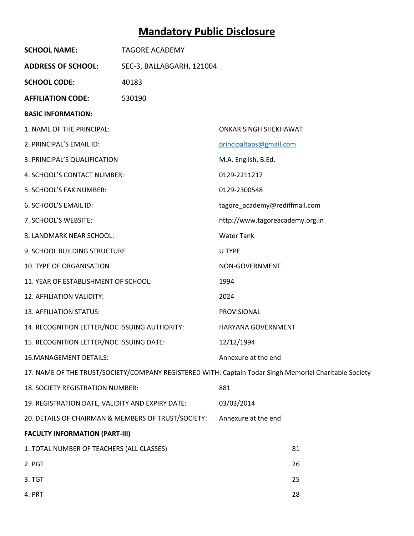# **Mandatory Public Disclosure**

| <b>SCHOOL NAME:</b>                                 | <b>TAGORE ACADEMY</b>                                                                                  |                                 |    |
|-----------------------------------------------------|--------------------------------------------------------------------------------------------------------|---------------------------------|----|
| <b>ADDRESS OF SCHOOL:</b>                           | SEC-3, BALLABGARH, 121004                                                                              |                                 |    |
| <b>SCHOOL CODE:</b>                                 | 40183                                                                                                  |                                 |    |
| <b>AFFILIATION CODE:</b>                            | 530190                                                                                                 |                                 |    |
| <b>BASIC INFORMATION:</b>                           |                                                                                                        |                                 |    |
| 1. NAME OF THE PRINCIPAL:                           |                                                                                                        | <b>ONKAR SINGH SHEKHAWAT</b>    |    |
| 2. PRINCIPAL'S EMAIL ID:                            |                                                                                                        | principaltaps@gmail.com         |    |
| 3. PRINCIPAL'S QUALIFICATION                        |                                                                                                        | M.A. English, B.Ed.             |    |
| 4. SCHOOL'S CONTACT NUMBER:                         |                                                                                                        | 0129-2211217                    |    |
| 5. SCHOOL'S FAX NUMBER:                             |                                                                                                        | 0129-2300548                    |    |
| 6. SCHOOL'S EMAIL ID:                               |                                                                                                        | tagore_academy@rediffmail.com   |    |
| 7. SCHOOL'S WEBSITE:                                |                                                                                                        | http://www.tagoreacademy.org.in |    |
| 8. LANDMARK NEAR SCHOOL:                            |                                                                                                        | <b>Water Tank</b>               |    |
| 9. SCHOOL BUILDING STRUCTURE                        |                                                                                                        | U TYPE                          |    |
| <b>10. TYPE OF ORGANISATION</b>                     |                                                                                                        | NON-GOVERNMENT                  |    |
| 11. YEAR OF ESTABLISHMENT OF SCHOOL:                |                                                                                                        | 1994                            |    |
| 12. AFFILIATION VALIDITY:                           |                                                                                                        | 2024                            |    |
| 13. AFFILIATION STATUS:                             |                                                                                                        | PROVISIONAL                     |    |
| 14. RECOGNITION LETTER/NOC ISSUING AUTHORITY:       |                                                                                                        | HARYANA GOVERNMENT              |    |
| 15. RECOGNITION LETTER/NOC ISSUING DATE:            |                                                                                                        | 12/12/1994                      |    |
| 16. MANAGEMENT DETAILS:                             |                                                                                                        | Annexure at the end             |    |
|                                                     | 17. NAME OF THE TRUST/SOCIETY/COMPANY REGISTERED WITH: Captain Todar Singh Memorial Charitable Society |                                 |    |
| 18. SOCIETY REGISTRATION NUMBER:                    |                                                                                                        | 881                             |    |
| 19. REGISTRATION DATE, VALIDITY AND EXPIRY DATE:    |                                                                                                        | 03/03/2014                      |    |
| 20. DETAILS OF CHAIRMAN & MEMBERS OF TRUST/SOCIETY: |                                                                                                        | Annexure at the end             |    |
| <b>FACULTY INFORMATION (PART-III)</b>               |                                                                                                        |                                 |    |
| 1. TOTAL NUMBER OF TEACHERS (ALL CLASSES)           |                                                                                                        |                                 | 81 |
| 2. PGT                                              |                                                                                                        |                                 | 26 |
| 3. TGT                                              |                                                                                                        |                                 | 25 |
| 4. PRT                                              |                                                                                                        |                                 | 28 |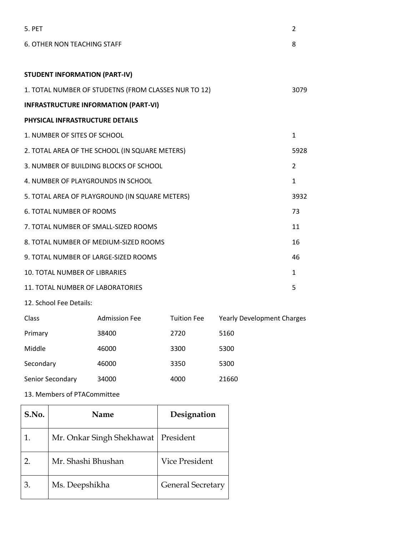| 5. PFT                                               | 2              |
|------------------------------------------------------|----------------|
| <b>6. OTHER NON TEACHING STAFF</b>                   | 8              |
|                                                      |                |
| <b>STUDENT INFORMATION (PART-IV)</b>                 |                |
| 1. TOTAL NUMBER OF STUDETNS (FROM CLASSES NUR TO 12) | 3079           |
| <b>INFRASTRUCTURE INFORMATION (PART-VI)</b>          |                |
| PHYSICAL INFRASTRUCTURE DETAILS                      |                |
| 1. NUMBER OF SITES OF SCHOOL                         | $\mathbf{1}$   |
| 2. TOTAL AREA OF THE SCHOOL (IN SQUARE METERS)       | 5928           |
| 3. NUMBER OF BUILDING BLOCKS OF SCHOOL               | $\overline{2}$ |
| 4. NUMBER OF PLAYGROUNDS IN SCHOOL                   | $\mathbf{1}$   |
| 5. TOTAL AREA OF PLAYGROUND (IN SQUARE METERS)       | 3932           |
| <b>6. TOTAL NUMBER OF ROOMS</b>                      | 73             |
| 7. TOTAL NUMBER OF SMALL-SIZED ROOMS                 | 11             |
| 8. TOTAL NUMBER OF MEDIUM-SIZED ROOMS                | 16             |
| 9. TOTAL NUMBER OF LARGE-SIZED ROOMS                 | 46             |
| 10. TOTAL NUMBER OF LIBRARIES                        | $\mathbf{1}$   |
| 11. TOTAL NUMBER OF LABORATORIES                     | 5              |

12. School Fee Details:

| Class            | <b>Admission Fee</b> | <b>Tuition Fee</b> | <b>Yearly Development Charges</b> |
|------------------|----------------------|--------------------|-----------------------------------|
| Primary          | 38400                | 2720               | 5160                              |
| Middle           | 46000                | 3300               | 5300                              |
| Secondary        | 46000                | 3350               | 5300                              |
| Senior Secondary | 34000                | 4000               | 21660                             |
|                  |                      |                    |                                   |

13. Members of PTACommittee

| S.No. | <b>Name</b>                           | Designation              |
|-------|---------------------------------------|--------------------------|
|       | Mr. Onkar Singh Shekhawat   President |                          |
|       | Mr. Shashi Bhushan                    | Vice President           |
| 3.    | Ms. Deepshikha                        | <b>General Secretary</b> |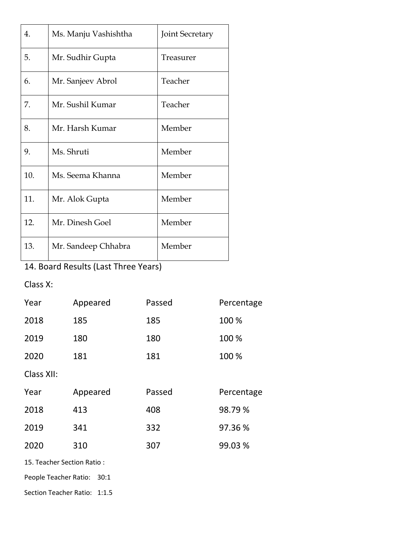| 4.  | Ms. Manju Vashishtha | <b>Joint Secretary</b> |
|-----|----------------------|------------------------|
| 5.  | Mr. Sudhir Gupta     | Treasurer              |
| 6.  | Mr. Sanjeev Abrol    | Teacher                |
| 7.  | Mr. Sushil Kumar     | Teacher                |
| 8.  | Mr. Harsh Kumar      | Member                 |
| 9.  | Ms. Shruti           | Member                 |
| 10. | Ms. Seema Khanna     | Member                 |
| 11. | Mr. Alok Gupta       | Member                 |
| 12. | Mr. Dinesh Goel      | Member                 |
| 13. | Mr. Sandeep Chhabra  | Member                 |

## 14. Board Results (Last Three Years)

### Class X:

| Year       | Appeared | Passed | Percentage |
|------------|----------|--------|------------|
| 2018       | 185      | 185    | 100 %      |
| 2019       | 180      | 180    | 100 %      |
| 2020       | 181      | 181    | 100 %      |
| Class XII: |          |        |            |
| Year       | Appeared | Passed | Percentage |
| 2018       | 413      | 408    | 98.79%     |
| 2019       | 341      | 332    | 97.36%     |
| 2020       | 310      | 307    | 99.03%     |

15. Teacher Section Ratio :

People Teacher Ratio: 30:1

Section Teacher Ratio: 1:1.5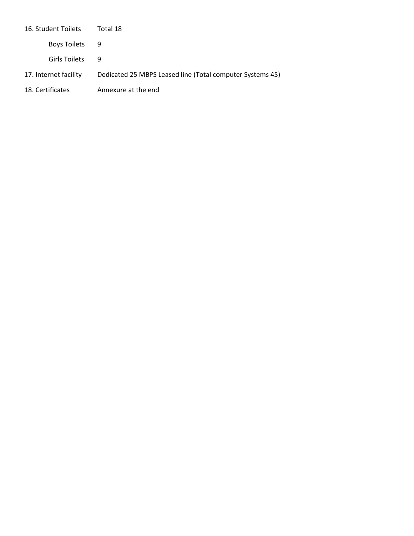| 16. Student Toilets   | Total 18                                                  |
|-----------------------|-----------------------------------------------------------|
| Boys Toilets          | - 9                                                       |
| Girls Toilets         | q                                                         |
| 17. Internet facility | Dedicated 25 MBPS Leased line (Total computer Systems 45) |
| 18. Certificates      | Annexure at the end                                       |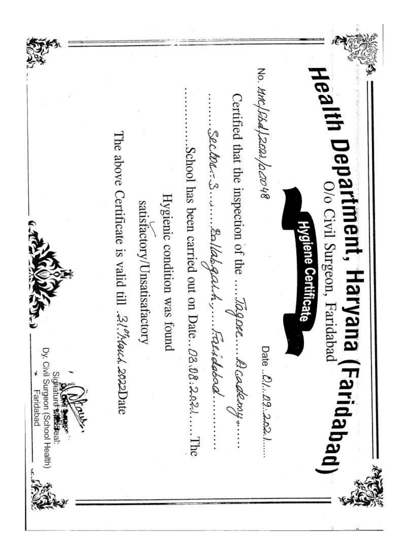Health Department, Haryana (Faridabad)<br>Health Department, Haryana (Faridabad) No. Httc/FBd/2021/acro48 Certified that the inspection of the ..... Ragaze..... B code the source .... Sector ... 3......... Ballabgarh., .... Faridabad..... .....School has been carried out on Date... $\beta$ 3.08.2.02......The The above Certificate is valid till .21.7/4aud. 2022Date Hygienic condition was found satisfactory/Unsatisafactory Hygiene Certificate Date ... 01... 09...2.02.1...... Dy. Civil Surgeon (School Health) Sidhatur<del>d wanda</del>a Faridabad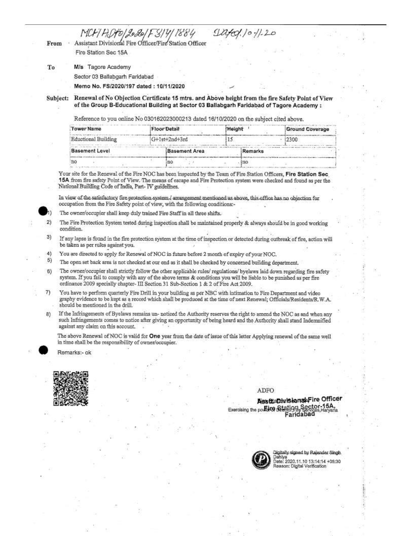MCH/HO/2020/F3/4/1884<br>Assistant Divisional Fire Officer/Fire Station Officer

 $\frac{1}{2}$ 

From Fire Station Sec 15A

To M/s Tagore Academy

Sector 03 Ballabgarh Faridabad

Memo No. FS/2020/197 dated: 10/11/2020

Subject:

Renewal of No Objection Certificate 15 mtrs. and Above height from the fire Safety Point of View of the Group B-Educational Building at Sector 03 Ballabgarh Faridabad of Tagore Academy:

Reference to you online No 030162023000213 dated 16/10/2020 on the subject cited above.

| Tower Name            | Floor Detail  |               | Height |         | <b>Ground Coverage</b> |
|-----------------------|---------------|---------------|--------|---------|------------------------|
| Eductional Building   | G+1st+2nd+3rd |               |        |         | 12300                  |
| <b>Basement Level</b> |               | Basement Area |        | Remarks |                        |
| 'nО                   | пo            |               |        | ino     |                        |

Your site for the Renewal of the Fire NOC has been inspected by the Team of Fire Station Officers, Fire Station Sec. 15A from fire safety Point of View. The means of escape and Fire Protection system were checked and found as per the National Building Code of India, Part-IV guidelines.

In view of the satisfactory fire protection system,/ arrangement mentioned as above, this office has no objection for occupation from the Fire Safety point of view, with the following conditions:-



The owner/occupier shall keep duly trained Fire Staff in all three shifts.

- $2)$ The Fire Protection System tested during inspection shall be maintained properly & always should be in good working condition.
- 3) If any lapse is found in the fire protection system at the time of inspection or detected during outbreak of fire, action will be taken as per rules against you.
- $4)$ You are directed to apply for Renewal of NOC in future before 2 month of expiry of your NOC.
- 5) The open set back area is not checked at our end as it shall be checked by concerned building department.
- The owner/occupier shall strictly follow the other applicable rules/ regulations/ byelaws laid down regarding fire safety  $6)$ system. If you fail to comply with any of the above terms & conditions you will be liable to be punished as per fire ordinance 2009 specially chapter- III Section 31 Sub-Section 1 & 2 of Fire Act 2009.
- You have to perform quarterly Fire Drill in your building as per NBC with intimation to Fire Department and video 7) graphy evidence to be kept as a record which shall be produced at the time of next Renewal; Officials/Residents/R.W.A. should be mentioned in the drill.
- If the Infringements of Byelaws remains un- noticed the Authority reserves the right to amend the NOC as and when any 8) such Infringements comes to notice after giving an opportunity of being heard and the Authority shall stand Indemnified against any claim on this account.

The above Renewal of NOC is valid for One year from the date of issue of this letter Applying renewal of the same well in time shall be the responsibility of owner/occupier.

Remarks:- ok



### ADFO

Assitta Divisional Fire Officer Exercising the policing Station Sector-15A Faridabac



ned by Rajender Singh Date: 2020.11.10 13:14:14 +05:30 ason: Digital Verification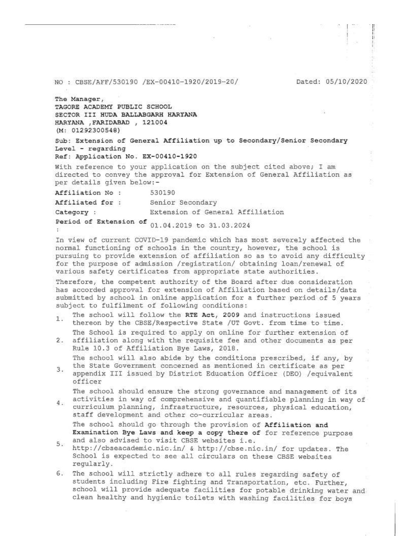#### NO : CBSE/AFF/530190 /EX-00410-1920/2019-20/

Dated: 05/10/2020

The Manager, TAGORE ACADEMY PUBLIC SCHOOL SECTOR III HUDA BALLABGARH HARYANA HARYANA , FARIDABAD , 121004  $(M: 01292300548)$ 

Sub: Extension of General Affiliation up to Secondary/Senior Secondary Level - regarding Ref: Application No. EX-00410-1920

With reference to your application on the subject cited above; I am directed to convey the approval for Extension of General Affiliation as per details given below:-

Affiliation No : 530190

Affiliated for : Senior Secondary

Extension of General Affiliation Category :

Period of Extension of  $01.04.2019$  to 31.03.2024 X.

In view of current COVID-19 pandemic which has most severely affected the normal functioning of schools in the country, however, the school is pursuing to provide extension of affiliation so as to avoid any difficulty for the purpose of admission /registration/ obtaining loan/renewal of various safety certificates from appropriate state authorities.

Therefore, the competent authority of the Board after due consideration has accorded approval for extension of Affiliation based on details/data submitted by school in online application for a further period of 5 years subject to fulfilment of following conditions:

- The school will follow the RTE Act, 2009 and instructions issued  $1.$ thereon by the CBSE/Respective State /UT Govt. from time to time.
- The School is required to apply on online for further extension of 2. affiliation along with the requisite fee and other documents as per Rule 10.3 of Affiliation Bye Laws, 2018.

The school will also abide by the conditions prescribed, if any, by the State Government concerned as mentioned in certificate as per

З. appendix III issued by District Education Officer (DEO) /equivalent officer

The school should ensure the strong governance and management of its activities in way of comprehensive and quantifiable planning in way of

4. curriculum planning, infrastructure, resources, physical education, staff development and other co-curricular areas. The school should go through the provision of Affiliation and

Examination Bye Laws and keep a copy there of for reference purpose and also advised to visit CBSE websites i.e. 5.

- http://cbseacademic.nic.in/ & http://cbse.nic.in/ for updates. The School is expected to see all circulars on these CBSE websites regularly.
- 6. The school will strictly adhere to all rules regarding safety of students including Fire fighting and Transportation, etc. Further, school will provide adequate facilities for potable drinking water and clean healthy and hygienic toilets with washing facilities for boys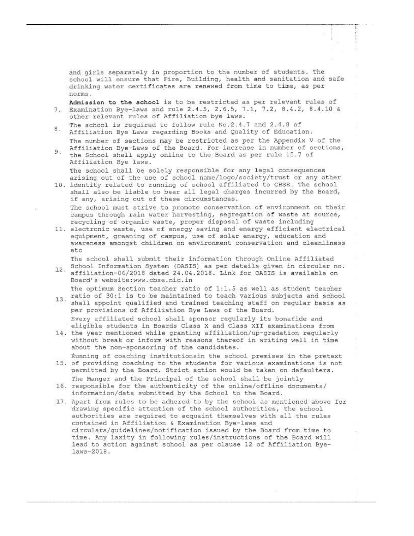and girls separately in proportion to the number of students. The school will ensure that Fire, Building, health and sanitation and safe drinking water certificates are renewed from time to time, as per norms.

- Admission to the school is to be restricted as per relevant rules of 7. Examination Bye-laws and rule 2.4.5, 2.6.5, 7.1, 7.2, 8.4.2, 8.4.10 & other relevant rules of Affiliation bye laws.
- The school is required to follow rule No.2.4.7 and 2.4.8 of 8. Affiliation Bye Laws regarding Books and Quality of Education.
- The number of sections may be restricted as per the Appendix V of the Affiliation Bye-Laws of the Board. For increase in number of sections, 9. the School shall apply online to the Board as per rule 15.7 of Affiliation Bye laws.

The school shall be solely responsible for any legal consequences arising out of the use of school name/logo/society/trust or any other

10. identity related to running of school affiliated to CBSE. The school shall also be liable to bear all legal charges incurred by the Board, if any, arising out of these circumstances.

The school must strive to promote conservation of environment on their campus through rain water harvesting, segregation of waste at source, recycling of organic waste, proper disposal of waste including

11. electronic waste, use of energy saving and energy efficient electrical equipment, greening of campus, use of solar energy, education and awareness amongst children on environment conservation and cleanliness etc

The school shall submit their information through Online Affiliated

School Information System (OASIS) as per details given in circular no.  $12.$ affiliation-06/2018 dated 24.04.2018. Link for OASIS is available on Board's website: www.cbse.nic.in

The optimum Section teacher ratio of 1:1.5 as well as student teacher 13. ratio of 30:1 is to be maintained to teach various subjects and school shall appoint qualified and trained teaching staff on regular basis as per provisions of Affiliation Bye Laws of the Board.

Every affiliated school shall sponsor regularly its bonafide and eligible students in Boards Class X and Class XII examinations from

- 14. the year mentioned while granting affiliation/up-gradation regularly without break or inform with reasons thereof in writing well in time about the non-sponsoring of the candidates.
- Running of coaching institutionsin the school premises in the pretext 15. of providing coaching to the students for various examinations is not permitted by the Board. Strict action would be taken on defaulters. The Manger and the Principal of the school shall be jointly
- 16. responsible for the authenticity of the online/offline documents/ information/data submitted by the School to the Board.
- 17. Apart from rules to be adhered to by the school as mentioned above for drawing specific attention of the school authorities, the school authorities are required to acquaint themselves with all the rules contained in Affiliation & Examination Bye-laws and circulars/guidelines/notification issued by the Board from time to time. Any laxity in following rules/instructions of the Board will lead to action against school as per clause 12 of Affiliation Byelaws-2018.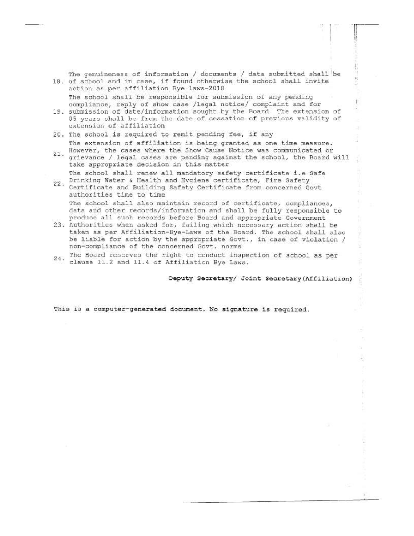The genuineness of information / documents / data submitted shall be 18. of school and in case, if found otherwise the school shall invite action as per affiliation Bye laws-2018

The school shall be responsible for submission of any pending compliance, reply of show case /legal notice/ complaint and for

- 19. submission of date/information sought by the Board. The extension of 05 years shall be from the date of cessation of previous validity of extension of affiliation
- 20. The school is required to remit pending fee, if any The extension of affiliation is being granted as one time measure.
- However, the cases where the Show Cause Notice was communicated or  $21.$ grievance / legal cases are pending against the school, the Board will take appropriate decision in this matter The school shall renew all mandatory safety certificate i.e Safe
- Drinking Water & Health and Hygiene certificate, Fire Safety 22. Utiliticate and Building Safety Certificate from concerned Govt authorities time to time The school shall also maintain record of certificate, compliances,

data and other records/information and shall be fully responsible to produce all such records before Board and appropriate Government

- 23. Authorities when asked for, failing which necessary action shall be taken as per Affiliation-Bye-Laws of the Board. The school shall also be liable for action by the appropriate Govt., in case of violation / non-compliance of the concerned Govt. norms
- 24. The Board reserves the right to conduct inspection of school as per clause 11.2 and 11.4 of Affiliation Bye Laws.

Deputy Secretary/ Joint Secretary (Affiliation)

ţ.

This is a computer-generated document. No signature is required.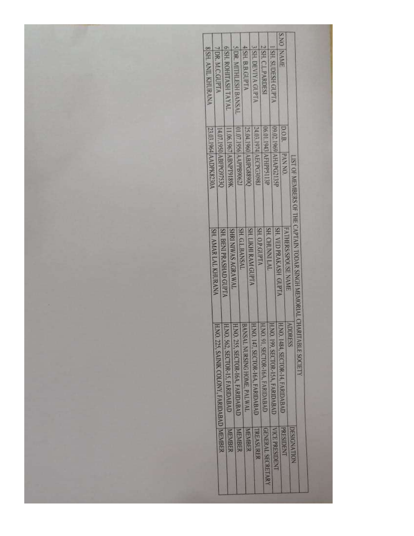| <b>S.NO</b>                                                                                                                                                                                                                                                                                                                    |
|--------------------------------------------------------------------------------------------------------------------------------------------------------------------------------------------------------------------------------------------------------------------------------------------------------------------------------|
| <b>SIDR. MITHLESH BANSAL</b><br>4 SH. B.B.GUPTA<br>3 SH. DEVIVA GUPTA<br>2 SH. CLPARDESI<br><b>1 SH. SUDESH GUPTA</b><br><b>6 SH. ROHITASH TAYAL</b><br><b>8 SH. ANIL KHURANA</b><br><b>7 DR. M.C.GUPTA</b><br>NAME                                                                                                            |
|                                                                                                                                                                                                                                                                                                                                |
|                                                                                                                                                                                                                                                                                                                                |
|                                                                                                                                                                                                                                                                                                                                |
|                                                                                                                                                                                                                                                                                                                                |
|                                                                                                                                                                                                                                                                                                                                |
|                                                                                                                                                                                                                                                                                                                                |
|                                                                                                                                                                                                                                                                                                                                |
| D.O.B.                                                                                                                                                                                                                                                                                                                         |
|                                                                                                                                                                                                                                                                                                                                |
|                                                                                                                                                                                                                                                                                                                                |
| <b>PANNA</b>                                                                                                                                                                                                                                                                                                                   |
| 09.02.1969 AHAPG2135P<br>O6.01.1943 AFHPP3113P<br>01.07.1956 AAPPB90622<br>24.03.1974 AECPG3098J<br>25.04.1960 ABJPG8890Q<br>11.06.1967 ABNPT9189K<br>23.03.1964 AADPK8230A<br>14.07.1950 ABFPG9753Q                                                                                                                           |
|                                                                                                                                                                                                                                                                                                                                |
|                                                                                                                                                                                                                                                                                                                                |
|                                                                                                                                                                                                                                                                                                                                |
|                                                                                                                                                                                                                                                                                                                                |
|                                                                                                                                                                                                                                                                                                                                |
|                                                                                                                                                                                                                                                                                                                                |
|                                                                                                                                                                                                                                                                                                                                |
| SH. O.P.GUPTA<br><b>SH. CHUNNI LAL</b><br>SH. G.L.BANSAL                                                                                                                                                                                                                                                                       |
|                                                                                                                                                                                                                                                                                                                                |
| FATHERS/SPOUSE NAME<br>SH, VED PRAKASH GUPTA<br><b>SH. LIKHI RAM GUPTA</b><br><b>SHRI NIWAS AGRAWAL</b><br>SH. BENI PRASHAD GUPTA<br>SH. AMAR LAL KHURANA                                                                                                                                                                      |
|                                                                                                                                                                                                                                                                                                                                |
|                                                                                                                                                                                                                                                                                                                                |
|                                                                                                                                                                                                                                                                                                                                |
|                                                                                                                                                                                                                                                                                                                                |
|                                                                                                                                                                                                                                                                                                                                |
| <b>ADDRESS</b>                                                                                                                                                                                                                                                                                                                 |
|                                                                                                                                                                                                                                                                                                                                |
|                                                                                                                                                                                                                                                                                                                                |
|                                                                                                                                                                                                                                                                                                                                |
| LIST OF MEMBERS OF THE CAPTAIN TODAR SINGH MEMORIAL CHARITABLE SOCIETY<br>H.NO. 1484, SECTOR-14, FARIDABAD<br><b>HAO 91, SECTOR-16A, FARIDABAD</b><br>HAO, 147, SECTOR-16A, FARIDABAD<br>H.NO. 199, SECTOR-15A, FARIDABAD<br>H.NO. 255, SECTOR-16A, FARIDABAD<br>BANSAL NURSING HOME, PALWAL<br>HNO. 562, SECTOR-15, FARIDABAD |
|                                                                                                                                                                                                                                                                                                                                |
|                                                                                                                                                                                                                                                                                                                                |
|                                                                                                                                                                                                                                                                                                                                |
|                                                                                                                                                                                                                                                                                                                                |
|                                                                                                                                                                                                                                                                                                                                |
| HNO. 225, SANIK COLONY, FARIDABAD MEMBER                                                                                                                                                                                                                                                                                       |
| <b>PRESIDENT</b><br><b>DESIGNATION</b><br>GENERAL SECRETARY<br>VICE PRESIDENT<br><b>MEMBER</b><br><b>TREASURER</b><br>MEMBER<br>MEMBER                                                                                                                                                                                         |
|                                                                                                                                                                                                                                                                                                                                |
|                                                                                                                                                                                                                                                                                                                                |
|                                                                                                                                                                                                                                                                                                                                |
|                                                                                                                                                                                                                                                                                                                                |
|                                                                                                                                                                                                                                                                                                                                |
|                                                                                                                                                                                                                                                                                                                                |